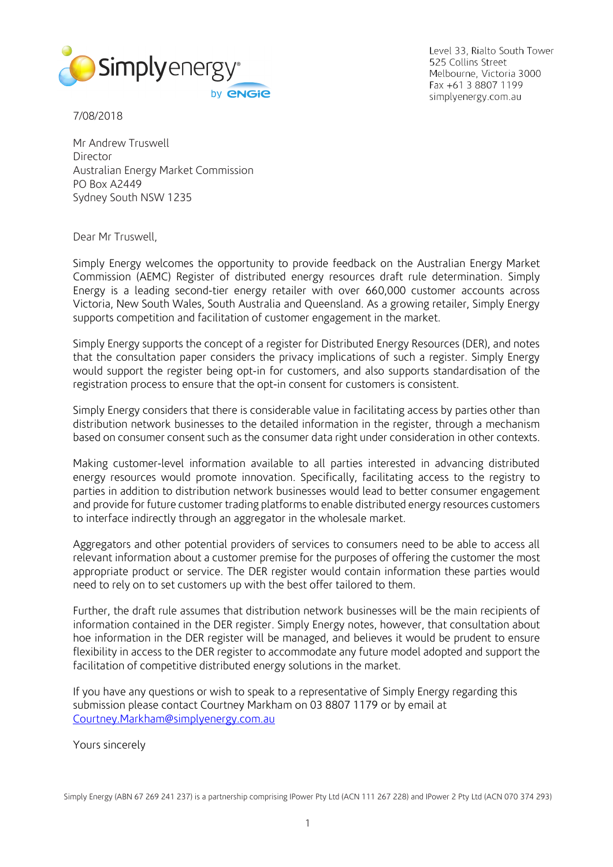

Level 33, Rialto South Tower 525 Collins Street Melbourne, Victoria 3000 Fax +61 3 8807 1199 simplyenergy.com.au

7/08/2018

Mr Andrew Truswell **Director** Australian Energy Market Commission PO Box A2449 Sydney South NSW 1235

Dear Mr Truswell,

Simply Energy welcomes the opportunity to provide feedback on the Australian Energy Market Commission (AEMC) Register of distributed energy resources draft rule determination. Simply Energy is a leading second-tier energy retailer with over 660,000 customer accounts across Victoria, New South Wales, South Australia and Queensland. As a growing retailer, Simply Energy supports competition and facilitation of customer engagement in the market.

Simply Energy supports the concept of a register for Distributed Energy Resources (DER), and notes that the consultation paper considers the privacy implications of such a register. Simply Energy would support the register being opt-in for customers, and also supports standardisation of the registration process to ensure that the opt-in consent for customers is consistent.

Simply Energy considers that there is considerable value in facilitating access by parties other than distribution network businesses to the detailed information in the register, through a mechanism based on consumer consent such as the consumer data right under consideration in other contexts.

Making customer-level information available to all parties interested in advancing distributed energy resources would promote innovation. Specifically, facilitating access to the registry to parties in addition to distribution network businesses would lead to better consumer engagement and provide for future customer trading platforms to enable distributed energy resources customers to interface indirectly through an aggregator in the wholesale market.

Aggregators and other potential providers of services to consumers need to be able to access all relevant information about a customer premise for the purposes of offering the customer the most appropriate product or service. The DER register would contain information these parties would need to rely on to set customers up with the best offer tailored to them.

Further, the draft rule assumes that distribution network businesses will be the main recipients of information contained in the DER register. Simply Energy notes, however, that consultation about hoe information in the DER register will be managed, and believes it would be prudent to ensure flexibility in access to the DER register to accommodate any future model adopted and support the facilitation of competitive distributed energy solutions in the market.

If you have any questions or wish to speak to a representative of Simply Energy regarding this submission please contact Courtney Markham on 03 8807 1179 or by email at [Courtney.Markham@simplyenergy.com.au](mailto:Courtney.Markham@simplyenergy.com.au)

Yours sincerely